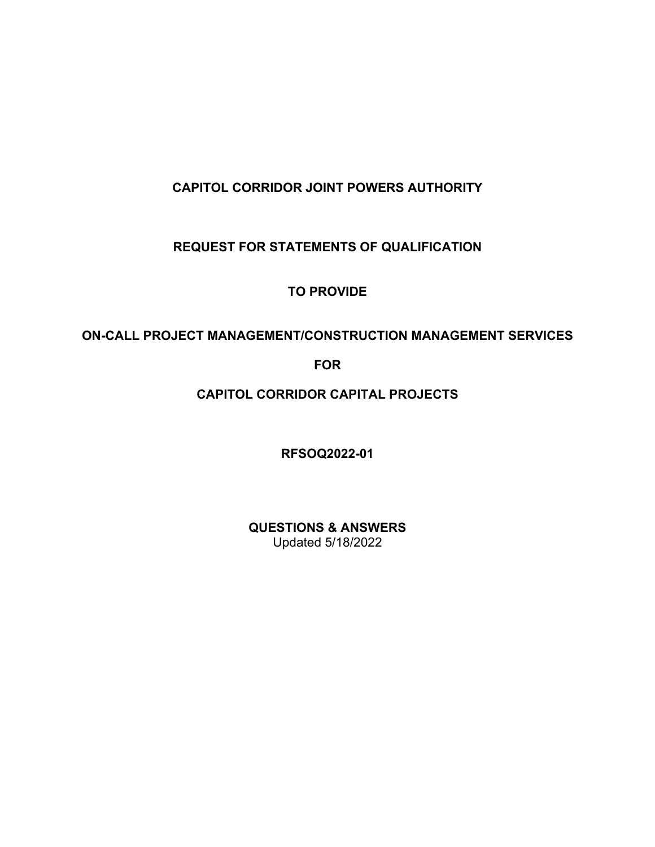## **CAPITOL CORRIDOR JOINT POWERS AUTHORITY**

### **REQUEST FOR STATEMENTS OF QUALIFICATION**

### **TO PROVIDE**

### **ON-CALL PROJECT MANAGEMENT/CONSTRUCTION MANAGEMENT SERVICES**

#### **FOR**

# **CAPITOL CORRIDOR CAPITAL PROJECTS**

**RFSOQ2022-01**

**QUESTIONS & ANSWERS** Updated 5/18/2022